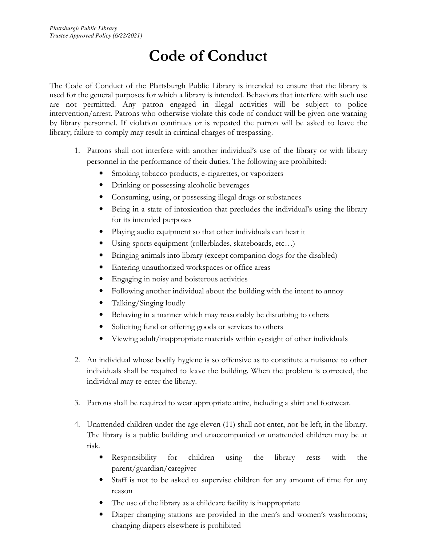## **Code of Conduct**

The Code of Conduct of the Plattsburgh Public Library is intended to ensure that the library is used for the general purposes for which a library is intended. Behaviors that interfere with such use are not permitted. Any patron engaged in illegal activities will be subject to police intervention/arrest. Patrons who otherwise violate this code of conduct will be given one warning by library personnel. If violation continues or is repeated the patron will be asked to leave the library; failure to comply may result in criminal charges of trespassing.

- 1. Patrons shall not interfere with another individual's use of the library or with library personnel in the performance of their duties. The following are prohibited:
	- Smoking tobacco products, e-cigarettes, or vaporizers
	- Drinking or possessing alcoholic beverages
	- Consuming, using, or possessing illegal drugs or substances
	- Being in a state of intoxication that precludes the individual's using the library for its intended purposes
	- Playing audio equipment so that other individuals can hear it
	- Using sports equipment (rollerblades, skateboards, etc…)
	- Bringing animals into library (except companion dogs for the disabled)
	- Entering unauthorized workspaces or office areas
	- Engaging in noisy and boisterous activities
	- Following another individual about the building with the intent to annoy
	- Talking/Singing loudly
	- Behaving in a manner which may reasonably be disturbing to others
	- Soliciting fund or offering goods or services to others
	- Viewing adult/inappropriate materials within eyesight of other individuals
- 2. An individual whose bodily hygiene is so offensive as to constitute a nuisance to other individuals shall be required to leave the building. When the problem is corrected, the individual may re-enter the library.
- 3. Patrons shall be required to wear appropriate attire, including a shirt and footwear.
- 4. Unattended children under the age eleven (11) shall not enter, nor be left, in the library. The library is a public building and unaccompanied or unattended children may be at risk.
	- Responsibility for children using the library rests with the parent/guardian/caregiver
	- Staff is not to be asked to supervise children for any amount of time for any reason
	- The use of the library as a childcare facility is inappropriate
	- Diaper changing stations are provided in the men's and women's washrooms; changing diapers elsewhere is prohibited